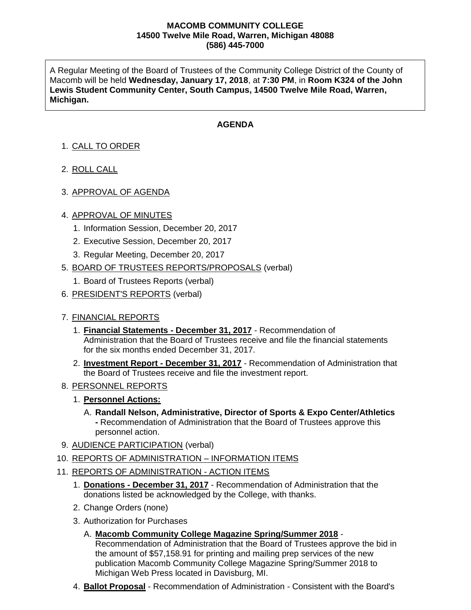#### **MACOMB COMMUNITY COLLEGE 14500 Twelve Mile Road, Warren, Michigan 48088 (586) 445-7000**

A Regular Meeting of the Board of Trustees of the Community College District of the County of Macomb will be held **Wednesday, January 17, 2018**, at **7:30 PM**, in **Room K324 of the John Lewis Student Community Center, South Campus, 14500 Twelve Mile Road, Warren, Michigan.**

## **AGENDA**

# 1. CALL TO ORDER

- 2. ROLL CALL
- 3. APPROVAL OF AGENDA

### 4. APPROVAL OF MINUTES

- 1. Information Session, December 20, 2017
- 2. Executive Session, December 20, 2017
- 3. Regular Meeting, December 20, 2017
- 5. BOARD OF TRUSTEES REPORTS/PROPOSALS (verbal)
	- 1. Board of Trustees Reports (verbal)
- 6. PRESIDENT'S REPORTS (verbal)

### 7. FINANCIAL REPORTS

- 1. **Financial Statements - December 31, 2017** Recommendation of Administration that the Board of Trustees receive and file the financial statements for the six months ended December 31, 2017.
- 2. **Investment Report - December 31, 2017** Recommendation of Administration that the Board of Trustees receive and file the investment report.
- 8. PERSONNEL REPORTS
	- 1. **Personnel Actions:**
		- A. **Randall Nelson, Administrative, Director of Sports & Expo Center/Athletics -** Recommendation of Administration that the Board of Trustees approve this personnel action.
- 9. AUDIENCE PARTICIPATION (verbal)
- 10. REPORTS OF ADMINISTRATION INFORMATION ITEMS
- 11. REPORTS OF ADMINISTRATION ACTION ITEMS
	- 1. **Donations - December 31, 2017** Recommendation of Administration that the donations listed be acknowledged by the College, with thanks.
	- 2. Change Orders (none)
	- 3. Authorization for Purchases
		- A. **Macomb Community College Magazine Spring/Summer 2018** Recommendation of Administration that the Board of Trustees approve the bid in the amount of \$57,158.91 for printing and mailing prep services of the new publication Macomb Community College Magazine Spring/Summer 2018 to Michigan Web Press located in Davisburg, MI.
	- 4. **Ballot Proposal** Recommendation of Administration Consistent with the Board's